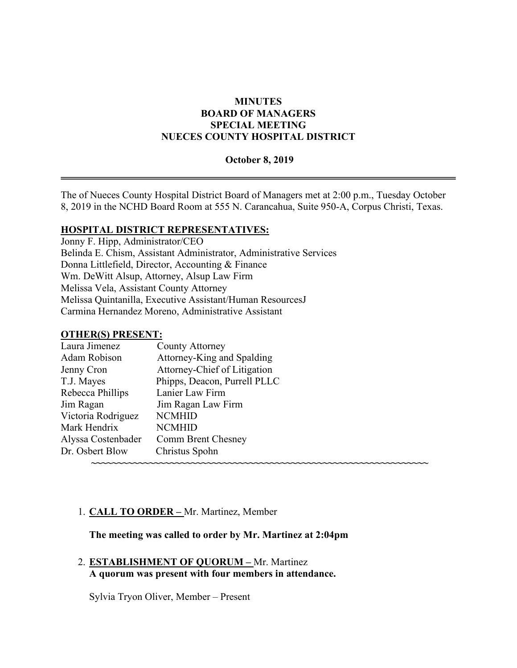# **MINUTES BOARD OF MANAGERS SPECIAL MEETING NUECES COUNTY HOSPITAL DISTRICT**

#### **October 8, 2019**

The of Nueces County Hospital District Board of Managers met at 2:00 p.m., Tuesday October 8, 2019 in the NCHD Board Room at 555 N. Carancahua, Suite 950-A, Corpus Christi, Texas.

### **HOSPITAL DISTRICT REPRESENTATIVES:**

Jonny F. Hipp, Administrator/CEO Belinda E. Chism, Assistant Administrator, Administrative Services Donna Littlefield, Director, Accounting & Finance Wm. DeWitt Alsup, Attorney, Alsup Law Firm Melissa Vela, Assistant County Attorney Melissa Quintanilla, Executive Assistant/Human ResourcesJ Carmina Hernandez Moreno, Administrative Assistant

#### **OTHER(S) PRESENT:**

| County Attorney              |  |
|------------------------------|--|
| Attorney-King and Spalding   |  |
| Attorney-Chief of Litigation |  |
| Phipps, Deacon, Purrell PLLC |  |
| Lanier Law Firm              |  |
| Jim Ragan Law Firm           |  |
| <b>NCMHID</b>                |  |
| <b>NCMHID</b>                |  |
| Comm Brent Chesney           |  |
| Christus Spohn               |  |
|                              |  |
|                              |  |

### 1. **CALL TO ORDER –** Mr. Martinez, Member

#### **The meeting was called to order by Mr. Martinez at 2:04pm**

2. **ESTABLISHMENT OF QUORUM –** Mr. Martinez **A quorum was present with four members in attendance.** 

Sylvia Tryon Oliver, Member – Present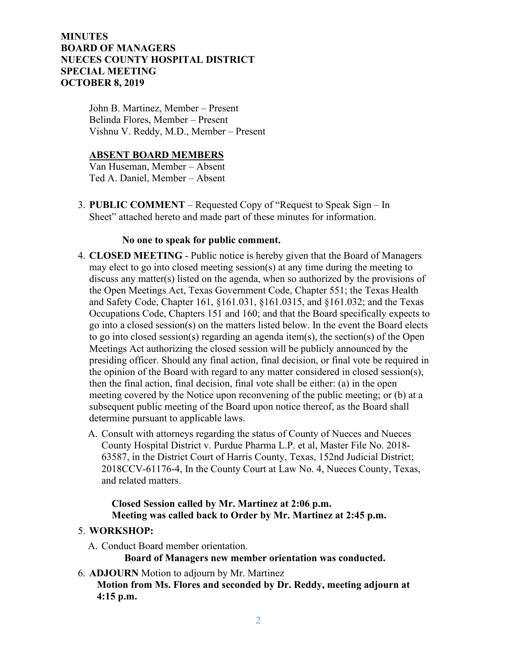# **MINUTES BOARD OF MANAGERS NUECES COUNTY HOSPITAL DISTRICT SPECIAL MEETING OCTOBER 8, 2019**

John B. Martinez, Member – Present Belinda Flores, Member – Present Vishnu V. Reddy, M.D., Member – Present

# **ABSENT BOARD MEMBERS**

Van Huseman, Member – Absent Ted A. Daniel, Member – Absent

3. **PUBLIC COMMENT** – Requested Copy of "Request to Speak Sign – In Sheet" attached hereto and made part of these minutes for information.

### **No one to speak for public comment.**

- 4. **CLOSED MEETING** Public notice is hereby given that the Board of Managers may elect to go into closed meeting session(s) at any time during the meeting to discuss any matter(s) listed on the agenda, when so authorized by the provisions of the Open Meetings Act, Texas Government Code, Chapter 551; the Texas Health and Safety Code, Chapter 161, §161.031, §161.0315, and §161.032; and the Texas Occupations Code, Chapters 151 and 160; and that the Board specifically expects to go into a closed session(s) on the matters listed below. In the event the Board elects to go into closed session(s) regarding an agenda item(s), the section(s) of the Open Meetings Act authorizing the closed session will be publicly announced by the presiding officer. Should any final action, final decision, or final vote be required in the opinion of the Board with regard to any matter considered in closed session(s), then the final action, final decision, final vote shall be either: (a) in the open meeting covered by the Notice upon reconvening of the public meeting; or (b) at a subsequent public meeting of the Board upon notice thereof, as the Board shall determine pursuant to applicable laws.
	- A. Consult with attorneys regarding the status of County of Nueces and Nueces County Hospital District v. Purdue Pharma L.P. et al, Master File No. 2018- 63587, in the District Court of Harris County, Texas, 152nd Judicial District; 2018CCV-61176-4, In the County Court at Law No. 4, Nueces County, Texas, and related matters.

# **Closed Session called by Mr. Martinez at 2:06 p.m. Meeting was called back to Order by Mr. Martinez at 2:45 p.m.**

### 5. **WORKSHOP:**

A. Conduct Board member orientation.

**Board of Managers new member orientation was conducted.**

6. **ADJOURN** Motion to adjourn by Mr. Martinez

 **Motion from Ms. Flores and seconded by Dr. Reddy, meeting adjourn at 4:15 p.m.**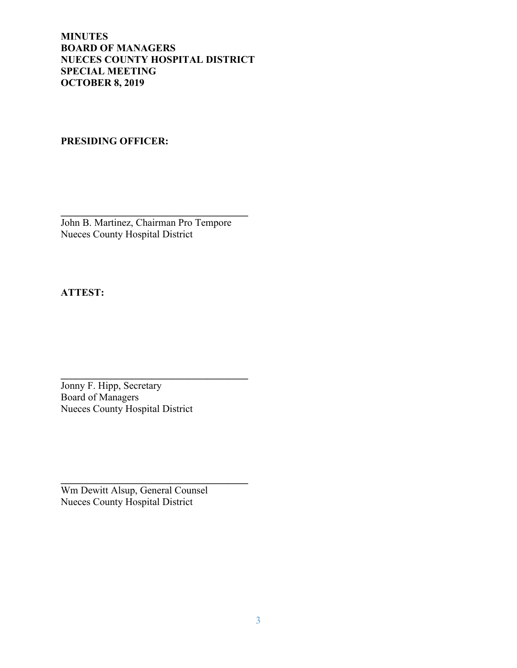**MINUTES BOARD OF MANAGERS NUECES COUNTY HOSPITAL DISTRICT SPECIAL MEETING OCTOBER 8, 2019**

# **PRESIDING OFFICER:**

**\_\_\_\_\_\_\_\_\_\_\_\_\_\_\_\_\_\_\_\_\_\_\_\_\_\_\_\_\_\_\_\_\_\_\_\_\_** John B. Martinez, Chairman Pro Tempore Nueces County Hospital District

**ATTEST:**

Jonny F. Hipp, Secretary Board of Managers Nueces County Hospital District

**\_\_\_\_\_\_\_\_\_\_\_\_\_\_\_\_\_\_\_\_\_\_\_\_\_\_\_\_\_\_\_\_\_\_\_\_\_**

**\_\_\_\_\_\_\_\_\_\_\_\_\_\_\_\_\_\_\_\_\_\_\_\_\_\_\_\_\_\_\_\_\_\_\_\_\_** Wm Dewitt Alsup, General Counsel Nueces County Hospital District